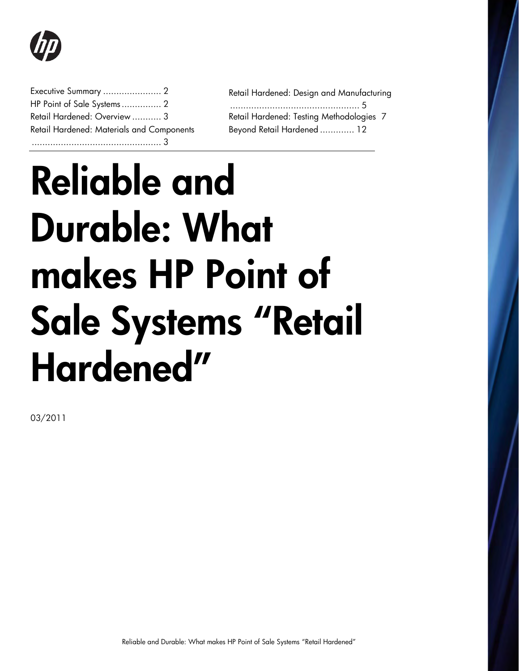

| Executive Summary  2                      |  |
|-------------------------------------------|--|
| HP Point of Sale Systems 2                |  |
| Retail Hardened: Overview  3              |  |
| Retail Hardened: Materials and Components |  |
|                                           |  |

| Retail Hardened: Design and Manufacturing |  |
|-------------------------------------------|--|
|                                           |  |
| Retail Hardened: Testing Methodologies 7  |  |
| Beyond Retail Hardened  12                |  |

Reliable and Durable: What makes HP Point of Sale Systems "Retail Hardened"

03/2011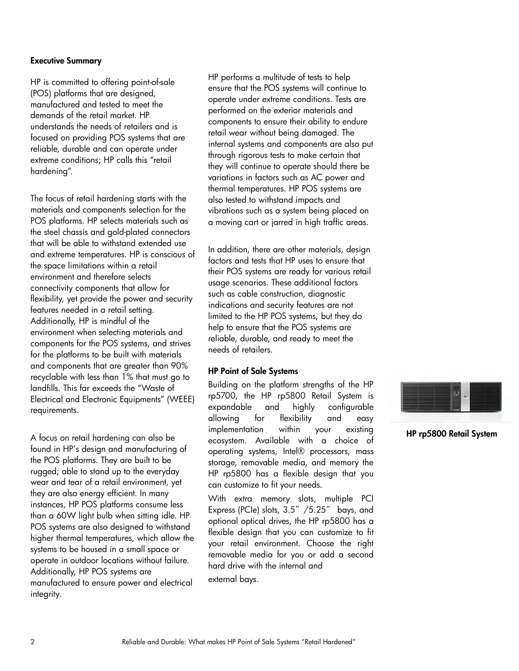#### <span id="page-1-0"></span>Executive Summary

HP is committed to offering point-of-sale (POS) platforms that are designed, manufactured and tested to meet the demands of the retail market. HP understands the needs of retailers and is focused on providing POS systems that are reliable, durable and can operate under extreme conditions; HP calls this "retail hardening".

The focus of retail hardening starts with the materials and components selection for the POS platforms. HP selects materials such as the steel chassis and gold-plated connectors that will be able to withstand extended use and extreme temperatures. HP is conscious of the space limitations within a retail environment and therefore selects connectivity components that allow for flexibility, yet provide the power and security features needed in a retail setting. Additionally, HP is mindful of the environment when selecting materials and components for the POS systems, and strives for the platforms to be built with materials and components that are greater than 90% recyclable with less than 1% that must go to landfills. This far exceeds the "Waste of Electrical and Electronic Equipments" (WEEE) requirements.

A focus on retail hardening can also be found in HP's design and manufacturing of the POS platforms. They are built to be rugged; able to stand up to the everyday wear and tear of a retail environment, yet they are also energy efficient. In many instances, HP POS platforms consume less than a 60W light bulb when sitting idle. HP POS systems are also designed to withstand higher thermal temperatures, which allow the systems to be housed in a small space or operate in outdoor locations without failure. Additionally, HP POS systems are manufactured to ensure power and electrical integrity.

HP performs a multitude of tests to help ensure that the POS systems will continue to operate under extreme conditions. Tests are performed on the exterior materials and components to ensure their ability to endure retail wear without being damaged. The internal systems and components are also put through rigorous tests to make certain that they will continue to operate should there be variations in factors such as AC power and thermal temperatures. HP POS systems are also tested to withstand impacts and vibrations such as a system being placed on a moving cart or jarred in high traffic areas.

In addition, there are other materials, design factors and tests that HP uses to ensure that their POS systems are ready for various retail usage scenarios. These additional factors such as cable construction, diagnostic indications and security features are not limited to the HP POS systems, but they do help to ensure that the POS systems are reliable, durable, and ready to meet the needs of retailers.

#### <span id="page-1-1"></span>HP Point of Sale Systems

Building on the platform strengths of the HP rp5700, the HP rp5800 Retail System is expandable and highly configurable allowing for flexibility and easy implementation within your existing ecosystem. Available with a choice of operating systems, Intel® processors, mass storage, removable media, and memory the HP rp5800 has a flexible design that you can customize to fit your needs.

With extra memory slots, multiple PCI Express (PCIe) slots, 3.5"/5.25" bays, and optional optical drives, the HP rp5800 has a flexible design that you can customize to fit your retail environment. Choose the right removable media for you or add a second hard drive with the internal and external bays.



HP rp5800 Retail System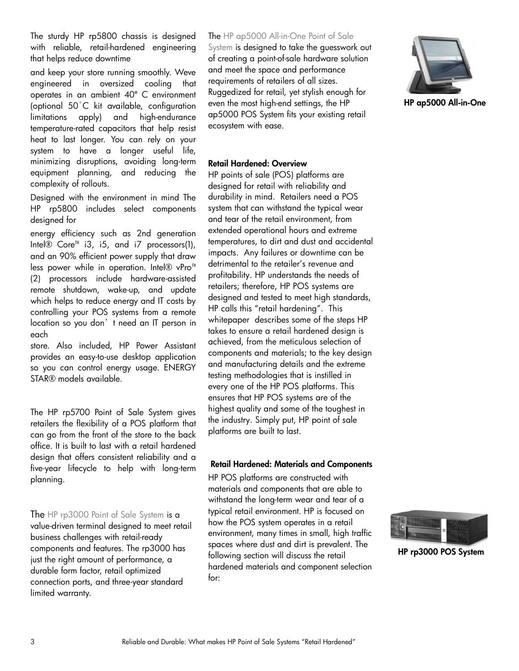The sturdy HP rp5800 chassis is designed with reliable, retail-hardened engineering that helps reduce downtime

and keep your store running smoothly. Weve engineered in oversized cooling that operates in an ambient 40º C environment (optional 50˚C kit available, configuration limitations apply) and high-endurance temperature-rated capacitors that help resist heat to last longer. You can rely on your system to have a longer useful life, minimizing disruptions, avoiding long-term equipment planning, and reducing the complexity of rollouts.

Designed with the environment in mind The HP rp5800 includes select components designed for

energy efficiency such as 2nd generation Intel® Core™ i3, i5, and i7 processors(1), and an 90% efficient power supply that draw less power while in operation. Intel® vPro™ (2) processors include hardware-assisted remote shutdown, wake-up, and update which helps to reduce energy and IT costs by controlling your POS systems from a remote location so you don't need an IT person in each

store. Also included, HP Power Assistant provides an easy-to-use desktop application so you can control energy usage. ENERGY STAR® models available.

The HP rp5700 Point of Sale System gives retailers the flexibility of a POS platform that can go from the front of the store to the back office. It is built to last with a retail hardened design that offers consistent reliability and a five-year lifecycle to help with long-term planning.

The HP rp3000 Point of Sale System is a value-driven terminal designed to meet retail

business challenges with retail-ready components and features. The rp3000 has just the right amount of performance, a durable form factor, retail optimized connection ports, and three-year standard limited warranty.

#### The HP ap5000 All-in-One Point of Sale

System is designed to take the guesswork out of creating a point-of-sale hardware solution and meet the space and performance requirements of retailers of all sizes. Ruggedized for retail, yet stylish enough for even the most high-end settings, the HP ap5000 POS System fits your existing retail ecosystem with ease.

### <span id="page-2-0"></span>Retail Hardened: Overview

HP points of sale (POS) platforms are designed for retail with reliability and durability in mind. Retailers need a POS system that can withstand the typical wear and tear of the retail environment, from extended operational hours and extreme temperatures, to dirt and dust and accidental impacts. Any failures or downtime can be detrimental to the retailer's revenue and profitability. HP understands the needs of retailers; therefore, HP POS systems are designed and tested to meet high standards, HP calls this "retail hardening". This whitepaper describes some of the steps HP takes to ensure a retail hardened design is achieved, from the meticulous selection of components and materials; to the key design and manufacturing details and the extreme testing methodologies that is instilled in every one of the HP POS platforms. This ensures that HP POS systems are of the highest quality and some of the toughest in the industry. Simply put, HP point of sale platforms are built to last.

#### <span id="page-2-1"></span>Retail Hardened: Materials and Components

HP POS platforms are constructed with materials and components that are able to withstand the long-term wear and tear of a typical retail environment. HP is focused on how the POS system operates in a retail environment, many times in small, high traffic spaces where dust and dirt is prevalent. The following section will discuss the retail hardened materials and component selection for:



HP ap5000 All-in-One



HP rp3000 POS System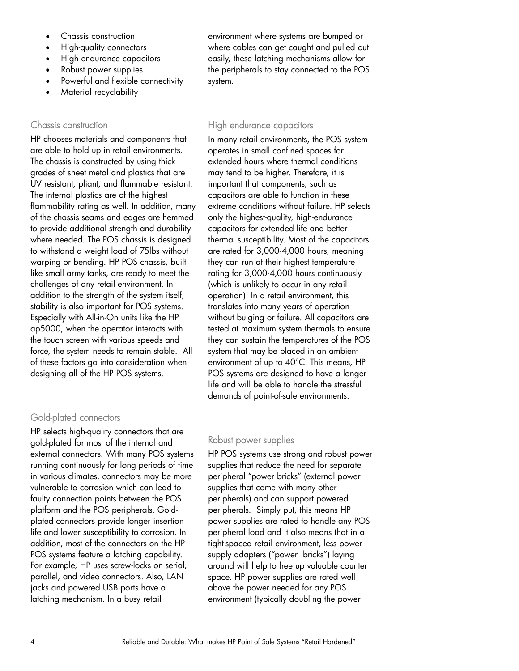- Chassis construction
- High-quality connectors
- High endurance capacitors
- Robust power supplies
- Powerful and flexible connectivity
- Material recyclability

## Chassis construction

HP chooses materials and components that are able to hold up in retail environments. The chassis is constructed by using thick grades of sheet metal and plastics that are UV resistant, pliant, and flammable resistant. The internal plastics are of the highest flammability rating as well. In addition, many of the chassis seams and edges are hemmed to provide additional strength and durability where needed. The POS chassis is designed to withstand a weight load of 75lbs without warping or bending. HP POS chassis, built like small army tanks, are ready to meet the challenges of any retail environment. In addition to the strength of the system itself, stability is also important for POS systems. Especially with All-in-On units like the HP ap5000, when the operator interacts with the touch screen with various speeds and force, the system needs to remain stable. All of these factors go into consideration when designing all of the HP POS systems.

## Gold-plated connectors

HP selects high-quality connectors that are gold-plated for most of the internal and external connectors. With many POS systems running continuously for long periods of time in various climates, connectors may be more vulnerable to corrosion which can lead to faulty connection points between the POS platform and the POS peripherals. Goldplated connectors provide longer insertion life and lower susceptibility to corrosion. In addition, most of the connectors on the HP POS systems feature a latching capability. For example, HP uses screw-locks on serial, parallel, and video connectors. Also, LAN jacks and powered USB ports have a latching mechanism. In a busy retail

environment where systems are bumped or where cables can get caught and pulled out easily, these latching mechanisms allow for the peripherals to stay connected to the POS system.

### High endurance capacitors

In many retail environments, the POS system operates in small confined spaces for extended hours where thermal conditions may tend to be higher. Therefore, it is important that components, such as capacitors are able to function in these extreme conditions without failure. HP selects only the highest-quality, high-endurance capacitors for extended life and better thermal susceptibility. Most of the capacitors are rated for 3,000-4,000 hours, meaning they can run at their highest temperature rating for 3,000-4,000 hours continuously (which is unlikely to occur in any retail operation). In a retail environment, this translates into many years of operation without bulging or failure. All capacitors are tested at maximum system thermals to ensure they can sustain the temperatures of the POS system that may be placed in an ambient environment of up to 40°C. This means, HP POS systems are designed to have a longer life and will be able to handle the stressful demands of point-of-sale environments.

## Robust power supplies

HP POS systems use strong and robust power supplies that reduce the need for separate peripheral "power bricks" (external power supplies that come with many other peripherals) and can support powered peripherals. Simply put, this means HP power supplies are rated to handle any POS peripheral load and it also means that in a tight-spaced retail environment, less power supply adapters ("power bricks") laying around will help to free up valuable counter space. HP power supplies are rated well above the power needed for any POS environment (typically doubling the power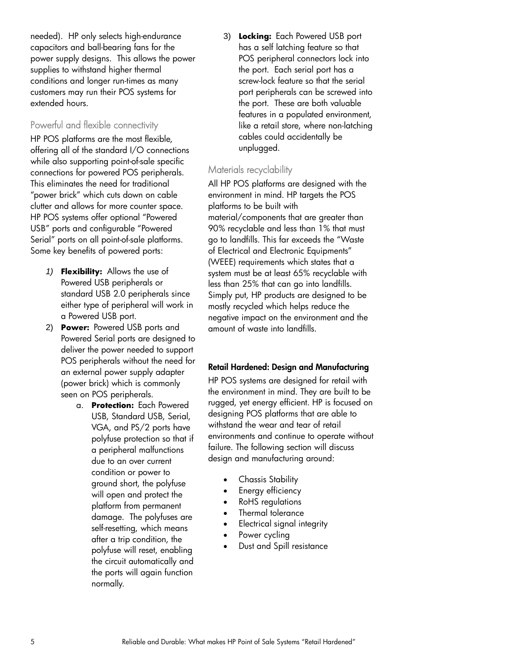needed). HP only selects high-endurance capacitors and ball-bearing fans for the power supply designs. This allows the power supplies to withstand higher thermal conditions and longer run-times as many customers may run their POS systems for extended hours.

## Powerful and flexible connectivity

HP POS platforms are the most flexible, offering all of the standard I/O connections while also supporting point-of-sale specific connections for powered POS peripherals. This eliminates the need for traditional "power brick" which cuts down on cable clutter and allows for more counter space. HP POS systems offer optional "Powered USB" ports and configurable "Powered Serial" ports on all point-of-sale platforms. Some key benefits of powered ports:

- *1)* **Flexibility:** Allows the use of Powered USB peripherals or standard USB 2.0 peripherals since either type of peripheral will work in a Powered USB port.
- 2) **Power:** Powered USB ports and Powered Serial ports are designed to deliver the power needed to support POS peripherals without the need for an external power supply adapter (power brick) which is commonly seen on POS peripherals.
	- a. **Protection:** Each Powered USB, Standard USB, Serial, VGA, and PS/2 ports have polyfuse protection so that if a peripheral malfunctions due to an over current condition or power to ground short, the polyfuse will open and protect the platform from permanent damage. The polyfuses are self-resetting, which means after a trip condition, the polyfuse will reset, enabling the circuit automatically and the ports will again function normally.

3) **Locking:** Each Powered USB port has a self latching feature so that POS peripheral connectors lock into the port. Each serial port has a screw-lock feature so that the serial port peripherals can be screwed into the port. These are both valuable features in a populated environment, like a retail store, where non-latching cables could accidentally be unplugged.

# Materials recyclability

All HP POS platforms are designed with the environment in mind. HP targets the POS platforms to be built with material/components that are greater than 90% recyclable and less than 1% that must go to landfills. This far exceeds the "Waste of Electrical and Electronic Equipments" (WEEE) requirements which states that a system must be at least 65% recyclable with less than 25% that can go into landfills. Simply put, HP products are designed to be mostly recycled which helps reduce the negative impact on the environment and the amount of waste into landfills.

## <span id="page-4-0"></span>Retail Hardened: Design and Manufacturing

HP POS systems are designed for retail with the environment in mind. They are built to be rugged, yet energy efficient. HP is focused on designing POS platforms that are able to withstand the wear and tear of retail environments and continue to operate without failure. The following section will discuss design and manufacturing around:

- Chassis Stability
- Energy efficiency
- RoHS regulations
- Thermal tolerance
- Electrical signal integrity
- Power cycling
- Dust and Spill resistance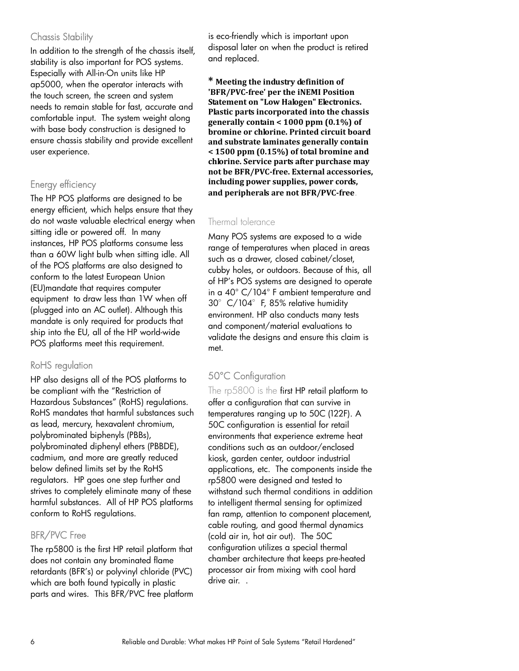# Chassis Stability

In addition to the strength of the chassis itself, stability is also important for POS systems. Especially with All-in-On units like HP ap5000, when the operator interacts with the touch screen, the screen and system needs to remain stable for fast, accurate and comfortable input. The system weight along with base body construction is designed to ensure chassis stability and provide excellent user experience.

# Energy efficiency

The HP POS platforms are designed to be energy efficient, which helps ensure that they do not waste valuable electrical energy when sitting idle or powered off. In many instances, HP POS platforms consume less than a 60W light bulb when sitting idle. All of the POS platforms are also designed to conform to the latest European Union (EU)mandate that requires computer equipment to draw less than 1W when off (plugged into an AC outlet). Although this mandate is only required for products that ship into the EU, all of the HP world-wide POS platforms meet this requirement.

# RoHS regulation

HP also designs all of the POS platforms to be compliant with the "Restriction of Hazardous Substances" (RoHS) regulations. RoHS mandates that harmful substances such as lead, mercury, hexavalent chromium, polybrominated biphenyls (PBBs), polybrominated diphenyl ethers (PBBDE), cadmium, and more are greatly reduced below defined limits set by the RoHS regulators. HP goes one step further and strives to completely eliminate many of these harmful substances. All of HP POS platforms conform to RoHS regulations.

# BFR/PVC Free

The rp5800 is the first HP retail platform that does not contain any brominated flame retardants (BFR's) or polyvinyl chloride (PVC) which are both found typically in plastic parts and wires. This BFR/PVC free platform is eco-friendly which is important upon disposal later on when the product is retired and replaced.

**\* Meeting the industry definition of 'BFR/PVC-free' per the iNEMI Position Statement on "Low Halogen" Electronics. Plastic parts incorporated into the chassis generally contain < 1000 ppm (0.1%) of bromine or chlorine. Printed circuit board and substrate laminates generally contain < 1500 ppm (0.15%) of total bromine and chlorine. Service parts after purchase may not be BFR/PVC-free. External accessories, including power supplies, power cords, and peripherals are not BFR/PVC-free**.

### Thermal tolerance

Many POS systems are exposed to a wide range of temperatures when placed in areas such as a drawer, closed cabinet/closet, cubby holes, or outdoors. Because of this, all of HP's POS systems are designed to operate in a 40° C/104° F ambient temperature and 30°C/104°F, 85% relative humidity environment. HP also conducts many tests and component/material evaluations to validate the designs and ensure this claim is met.

# 50°C Configuration

The rp5800 is the first HP retail platform to offer a configuration that can survive in temperatures ranging up to 50C (122F). A 50C configuration is essential for retail environments that experience extreme heat conditions such as an outdoor/enclosed kiosk, garden center, outdoor industrial applications, etc. The components inside the rp5800 were designed and tested to withstand such thermal conditions in addition to intelligent thermal sensing for optimized fan ramp, attention to component placement, cable routing, and good thermal dynamics (cold air in, hot air out). The 50C configuration utilizes a special thermal chamber architecture that keeps pre-heated processor air from mixing with cool hard drive air. .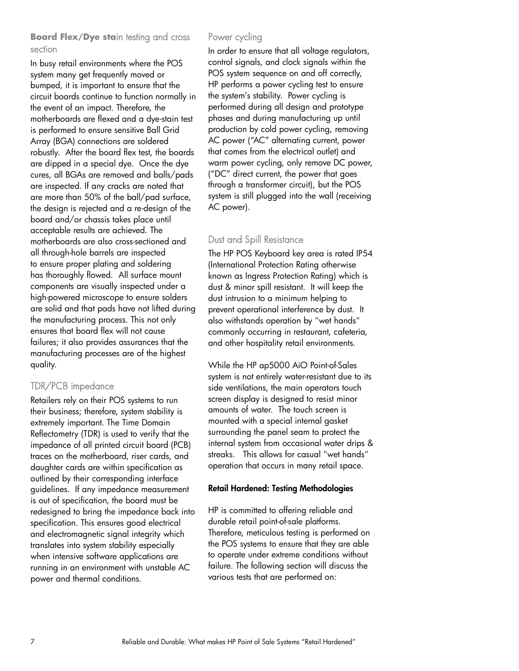## **Board Flex/Dye stain testing and cross** section

In busy retail environments where the POS system many get frequently moved or bumped, it is important to ensure that the circuit boards continue to function normally in the event of an impact. Therefore, the motherboards are flexed and a dye-stain test is performed to ensure sensitive Ball Grid Array (BGA) connections are soldered robustly. After the board flex test, the boards are dipped in a special dye. Once the dye cures, all BGAs are removed and balls/pads are inspected. If any cracks are noted that are more than 50% of the ball/pad surface, the design is rejected and a re-design of the board and/or chassis takes place until acceptable results are achieved. The motherboards are also cross-sectioned and all through-hole barrels are inspected to ensure proper plating and soldering has thoroughly flowed. All surface mount components are visually inspected under a high-powered microscope to ensure solders are solid and that pads have not lifted during the manufacturing process. This not only ensures that board flex will not cause failures; it also provides assurances that the manufacturing processes are of the highest quality.

## TDR/PCB impedance

Retailers rely on their POS systems to run their business; therefore, system stability is extremely important. The Time Domain Reflectometry (TDR) is used to verify that the impedance of all printed circuit board (PCB) traces on the motherboard, riser cards, and daughter cards are within specification as outlined by their corresponding interface guidelines. If any impedance measurement is out of specification, the board must be redesigned to bring the impedance back into specification. This ensures good electrical and electromagnetic signal integrity which translates into system stability especially when intensive software applications are running in an environment with unstable AC power and thermal conditions.

### Power cycling

In order to ensure that all voltage regulators, control signals, and clock signals within the POS system sequence on and off correctly, HP performs a power cycling test to ensure the system's stability. Power cycling is performed during all design and prototype phases and during manufacturing up until production by cold power cycling, removing AC power ("AC" alternating current, power that comes from the electrical outlet) and warm power cycling, only remove DC power, ("DC" direct current, the power that goes through a transformer circuit), but the POS system is still plugged into the wall (receiving AC power).

## Dust and Spill Resistance

The HP POS Keyboard key area is rated IP54 (International Protection Rating otherwise known as Ingress Protection Rating) which is dust & minor spill resistant. It will keep the dust intrusion to a minimum helping to prevent operational interference by dust. It also withstands operation by "wet hands" commonly occurring in restaurant, cafeteria, and other hospitality retail environments.

While the HP ap5000 AiO Point-of-Sales system is not entirely water-resistant due to its side ventilations, the main operators touch screen display is designed to resist minor amounts of water. The touch screen is mounted with a special internal gasket surrounding the panel seam to protect the internal system from occasional water drips & streaks. This allows for casual "wet hands" operation that occurs in many retail space.

#### <span id="page-6-0"></span>Retail Hardened: Testing Methodologies

HP is committed to offering reliable and durable retail point-of-sale platforms. Therefore, meticulous testing is performed on the POS systems to ensure that they are able to operate under extreme conditions without failure. The following section will discuss the various tests that are performed on: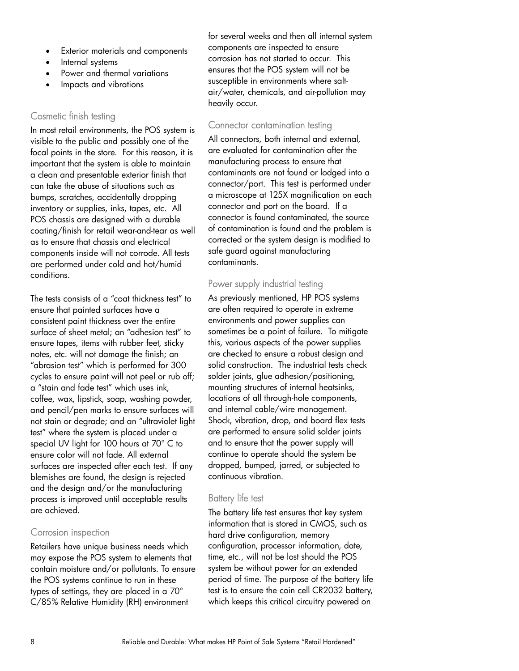- Exterior materials and components
- Internal systems
- Power and thermal variations
- Impacts and vibrations

#### Cosmetic finish testing

In most retail environments, the POS system is visible to the public and possibly one of the focal points in the store. For this reason, it is important that the system is able to maintain a clean and presentable exterior finish that can take the abuse of situations such as bumps, scratches, accidentally dropping inventory or supplies, inks, tapes, etc. All POS chassis are designed with a durable coating/finish for retail wear-and-tear as well as to ensure that chassis and electrical components inside will not corrode. All tests are performed under cold and hot/humid conditions.

The tests consists of a "coat thickness test" to ensure that painted surfaces have a consistent paint thickness over the entire surface of sheet metal; an "adhesion test" to ensure tapes, items with rubber feet, sticky notes, etc. will not damage the finish; an "abrasion test" which is performed for 300 cycles to ensure paint will not peel or rub off; a "stain and fade test" which uses ink, coffee, wax, lipstick, soap, washing powder, and pencil/pen marks to ensure surfaces will not stain or degrade; and an "ultraviolet light test" where the system is placed under a special UV light for 100 hours at 70° C to ensure color will not fade. All external surfaces are inspected after each test. If any blemishes are found, the design is rejected and the design and/or the manufacturing process is improved until acceptable results are achieved.

#### Corrosion inspection

Retailers have unique business needs which may expose the POS system to elements that contain moisture and/or pollutants. To ensure the POS systems continue to run in these types of settings, they are placed in a 70° C/85% Relative Humidity (RH) environment

for several weeks and then all internal system components are inspected to ensure corrosion has not started to occur. This ensures that the POS system will not be susceptible in environments where saltair/water, chemicals, and air-pollution may heavily occur.

### Connector contamination testing

All connectors, both internal and external, are evaluated for contamination after the manufacturing process to ensure that contaminants are not found or lodged into a connector/port. This test is performed under a microscope at 125X magnification on each connector and port on the board. If a connector is found contaminated, the source of contamination is found and the problem is corrected or the system design is modified to safe guard against manufacturing contaminants.

## Power supply industrial testing

As previously mentioned, HP POS systems are often required to operate in extreme environments and power supplies can sometimes be a point of failure. To mitigate this, various aspects of the power supplies are checked to ensure a robust design and solid construction. The industrial tests check solder joints, glue adhesion/positioning, mounting structures of internal heatsinks, locations of all through-hole components, and internal cable/wire management. Shock, vibration, drop, and board flex tests are performed to ensure solid solder joints and to ensure that the power supply will continue to operate should the system be dropped, bumped, jarred, or subjected to continuous vibration.

#### Battery life test

The battery life test ensures that key system information that is stored in CMOS, such as hard drive configuration, memory configuration, processor information, date, time, etc., will not be lost should the POS system be without power for an extended period of time. The purpose of the battery life test is to ensure the coin cell CR2032 battery, which keeps this critical circuitry powered on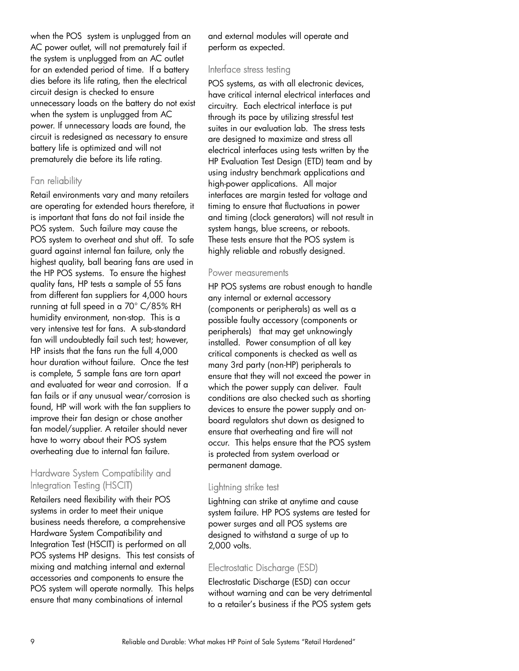when the POS system is unplugged from an AC power outlet, will not prematurely fail if the system is unplugged from an AC outlet for an extended period of time. If a battery dies before its life rating, then the electrical circuit design is checked to ensure unnecessary loads on the battery do not exist when the system is unplugged from AC power. If unnecessary loads are found, the circuit is redesigned as necessary to ensure battery life is optimized and will not prematurely die before its life rating.

### Fan reliability

Retail environments vary and many retailers are operating for extended hours therefore, it is important that fans do not fail inside the POS system. Such failure may cause the POS system to overheat and shut off. To safe guard against internal fan failure, only the highest quality, ball bearing fans are used in the HP POS systems. To ensure the highest quality fans, HP tests a sample of 55 fans from different fan suppliers for 4,000 hours running at full speed in a 70° C/85% RH humidity environment, non-stop. This is a very intensive test for fans. A sub-standard fan will undoubtedly fail such test; however, HP insists that the fans run the full 4,000 hour duration without failure. Once the test is complete, 5 sample fans are torn apart and evaluated for wear and corrosion. If a fan fails or if any unusual wear/corrosion is found, HP will work with the fan suppliers to improve their fan design or chose another fan model/supplier. A retailer should never have to worry about their POS system overheating due to internal fan failure.

## Hardware System Compatibility and Integration Testing (HSCIT)

Retailers need flexibility with their POS systems in order to meet their unique business needs therefore, a comprehensive Hardware System Compatibility and Integration Test (HSCIT) is performed on all POS systems HP designs. This test consists of mixing and matching internal and external accessories and components to ensure the POS system will operate normally. This helps ensure that many combinations of internal

and external modules will operate and perform as expected.

## Interface stress testing

POS systems, as with all electronic devices, have critical internal electrical interfaces and circuitry. Each electrical interface is put through its pace by utilizing stressful test suites in our evaluation lab. The stress tests are designed to maximize and stress all electrical interfaces using tests written by the HP Evaluation Test Design (ETD) team and by using industry benchmark applications and high-power applications. All major interfaces are margin tested for voltage and timing to ensure that fluctuations in power and timing (clock generators) will not result in system hangs, blue screens, or reboots. These tests ensure that the POS system is highly reliable and robustly designed.

### Power measurements

HP POS systems are robust enough to handle any internal or external accessory (components or peripherals) as well as a possible faulty accessory (components or peripherals) that may get unknowingly installed. Power consumption of all key critical components is checked as well as many 3rd party (non-HP) peripherals to ensure that they will not exceed the power in which the power supply can deliver. Fault conditions are also checked such as shorting devices to ensure the power supply and onboard regulators shut down as designed to ensure that overheating and fire will not occur. This helps ensure that the POS system is protected from system overload or permanent damage.

# Lightning strike test

Lightning can strike at anytime and cause system failure. HP POS systems are tested for power surges and all POS systems are designed to withstand a surge of up to 2,000 volts.

# Electrostatic Discharge (ESD)

Electrostatic Discharge (ESD) can occur without warning and can be very detrimental to a retailer's business if the POS system gets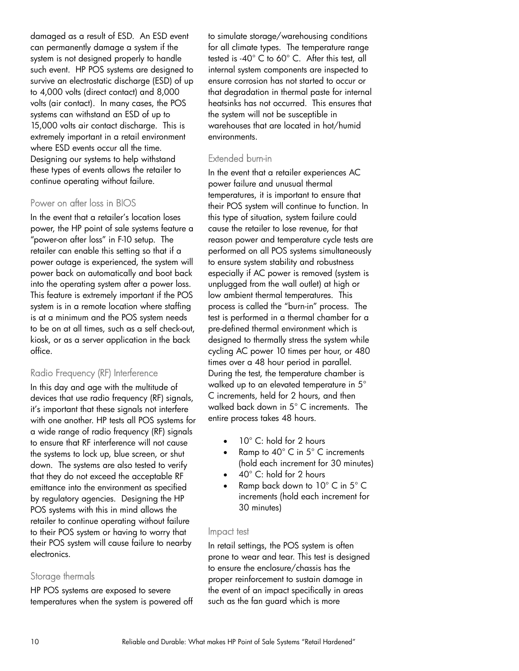damaged as a result of ESD. An ESD event can permanently damage a system if the system is not designed properly to handle such event. HP POS systems are designed to survive an electrostatic discharge (ESD) of up to 4,000 volts (direct contact) and 8,000 volts (air contact). In many cases, the POS systems can withstand an ESD of up to 15,000 volts air contact discharge. This is extremely important in a retail environment where ESD events occur all the time. Designing our systems to help withstand these types of events allows the retailer to continue operating without failure.

## Power on after loss in BIOS

In the event that a retailer's location loses power, the HP point of sale systems feature a "power-on after loss" in F-10 setup. The retailer can enable this setting so that if a power outage is experienced, the system will power back on automatically and boot back into the operating system after a power loss. This feature is extremely important if the POS system is in a remote location where staffing is at a minimum and the POS system needs to be on at all times, such as a self check-out, kiosk, or as a server application in the back office.

## Radio Frequency (RF) Interference

In this day and age with the multitude of devices that use radio frequency (RF) signals, it's important that these signals not interfere with one another. HP tests all POS systems for a wide range of radio frequency (RF) signals to ensure that RF interference will not cause the systems to lock up, blue screen, or shut down. The systems are also tested to verify that they do not exceed the acceptable RF emittance into the environment as specified by regulatory agencies. Designing the HP POS systems with this in mind allows the retailer to continue operating without failure to their POS system or having to worry that their POS system will cause failure to nearby electronics.

#### Storage thermals

HP POS systems are exposed to severe temperatures when the system is powered off to simulate storage/warehousing conditions for all climate types. The temperature range tested is -40° C to 60° C. After this test, all internal system components are inspected to ensure corrosion has not started to occur or that degradation in thermal paste for internal heatsinks has not occurred. This ensures that the system will not be susceptible in warehouses that are located in hot/humid environments.

## Extended burn-in

In the event that a retailer experiences AC power failure and unusual thermal temperatures, it is important to ensure that their POS system will continue to function. In this type of situation, system failure could cause the retailer to lose revenue, for that reason power and temperature cycle tests are performed on all POS systems simultaneously to ensure system stability and robustness especially if AC power is removed (system is unplugged from the wall outlet) at high or low ambient thermal temperatures. This process is called the "burn-in" process. The test is performed in a thermal chamber for a pre-defined thermal environment which is designed to thermally stress the system while cycling AC power 10 times per hour, or 480 times over a 48 hour period in parallel. During the test, the temperature chamber is walked up to an elevated temperature in 5° C increments, held for 2 hours, and then walked back down in 5° C increments. The entire process takes 48 hours.

- 10° C: hold for 2 hours
- Ramp to 40° C in 5° C increments (hold each increment for 30 minutes)
- 40° C: hold for 2 hours
- Ramp back down to 10° C in 5° C increments (hold each increment for 30 minutes)

#### Impact test

In retail settings, the POS system is often prone to wear and tear. This test is designed to ensure the enclosure/chassis has the proper reinforcement to sustain damage in the event of an impact specifically in areas such as the fan guard which is more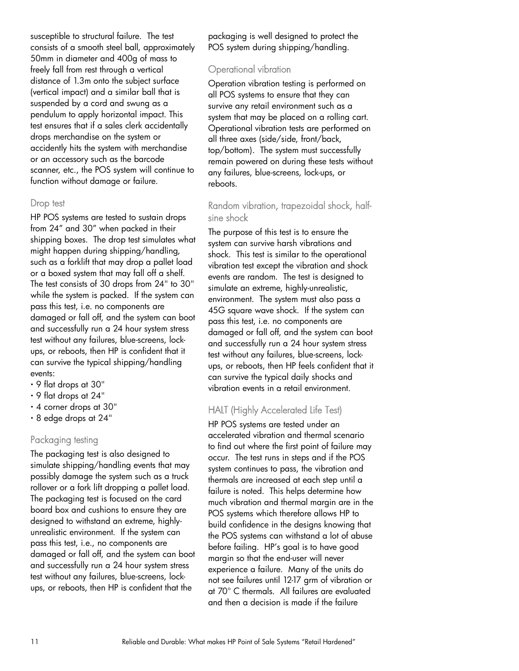susceptible to structural failure. The test consists of a smooth steel ball, approximately 50mm in diameter and 400g of mass to freely fall from rest through a vertical distance of 1.3m onto the subject surface (vertical impact) and a similar ball that is suspended by a cord and swung as a pendulum to apply horizontal impact. This test ensures that if a sales clerk accidentally drops merchandise on the system or accidently hits the system with merchandise or an accessory such as the barcode scanner, etc., the POS system will continue to function without damage or failure.

### Drop test

HP POS systems are tested to sustain drops from 24" and 30" when packed in their shipping boxes. The drop test simulates what might happen during shipping/handling, such as a forklift that may drop a pallet load or a boxed system that may fall off a shelf. The test consists of 30 drops from 24" to 30" while the system is packed. If the system can pass this test, i.e. no components are damaged or fall off, and the system can boot and successfully run a 24 hour system stress test without any failures, blue-screens, lockups, or reboots, then HP is confident that it can survive the typical shipping/handling events:

- 9 flat drops at 30"
- 9 flat drops at 24"
- 4 corner drops at 30"
- 8 edge drops at 24"

## Packaging testing

The packaging test is also designed to simulate shipping/handling events that may possibly damage the system such as a truck rollover or a fork lift dropping a pallet load. The packaging test is focused on the card board box and cushions to ensure they are designed to withstand an extreme, highlyunrealistic environment. If the system can pass this test, i.e., no components are damaged or fall off, and the system can boot and successfully run a 24 hour system stress test without any failures, blue-screens, lockups, or reboots, then HP is confident that the

packaging is well designed to protect the POS system during shipping/handling.

## Operational vibration

Operation vibration testing is performed on all POS systems to ensure that they can survive any retail environment such as a system that may be placed on a rolling cart. Operational vibration tests are performed on all three axes (side/side, front/back, top/bottom). The system must successfully remain powered on during these tests without any failures, blue-screens, lock-ups, or reboots.

# Random vibration, trapezoidal shock, halfsine shock

The purpose of this test is to ensure the system can survive harsh vibrations and shock. This test is similar to the operational vibration test except the vibration and shock events are random. The test is designed to simulate an extreme, highly-unrealistic, environment. The system must also pass a 45G square wave shock. If the system can pass this test, i.e. no components are damaged or fall off, and the system can boot and successfully run a 24 hour system stress test without any failures, blue-screens, lockups, or reboots, then HP feels confident that it can survive the typical daily shocks and vibration events in a retail environment.

# HALT (Highly Accelerated Life Test)

HP POS systems are tested under an accelerated vibration and thermal scenario to find out where the first point of failure may occur. The test runs in steps and if the POS system continues to pass, the vibration and thermals are increased at each step until a failure is noted. This helps determine how much vibration and thermal margin are in the POS systems which therefore allows HP to build confidence in the designs knowing that the POS systems can withstand a lot of abuse before failing. HP's goal is to have good margin so that the end-user will never experience a failure. Many of the units do not see failures until 12-17 grm of vibration or at 70° C thermals. All failures are evaluated and then a decision is made if the failure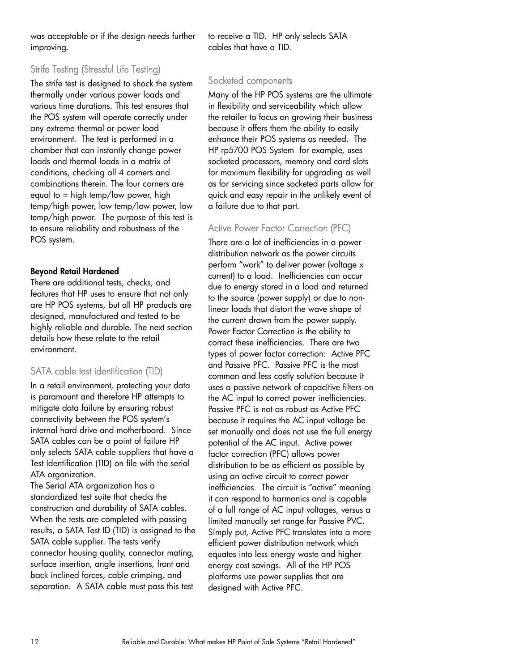was acceptable or if the design needs further improving.

## Strife Testing (Stressful Life Testing)

The strife test is designed to shock the system thermally under various power loads and various time durations. This test ensures that the POS system will operate correctly under any extreme thermal or power load environment. The test is performed in a chamber that can instantly change power loads and thermal loads in a matrix of conditions, checking all 4 corners and combinations therein. The four corners are equal to = high temp/low power, high temp/high power, low temp/low power, low temp/high power. The purpose of this test is to ensure reliability and robustness of the POS system.

#### <span id="page-11-0"></span>Beyond Retail Hardened

There are additional tests, checks, and features that HP uses to ensure that not only are HP POS systems, but all HP products are designed, manufactured and tested to be highly reliable and durable. The next section details how these relate to the retail environment.

## SATA cable test identification (TID)

In a retail environment, protecting your data is paramount and therefore HP attempts to mitigate data failure by ensuring robust connectivity between the POS system's internal hard drive and motherboard. Since SATA cables can be a point of failure HP only selects SATA cable suppliers that have a Test Identification (TID) on file with the serial ATA organization.

The Serial ATA organization has a standardized test suite that checks the construction and durability of SATA cables. When the tests are completed with passing results, a SATA Test ID (TID) is assigned to the SATA cable supplier. The tests verify connector housing quality, connector mating, surface insertion, angle insertions, front and back inclined forces, cable crimping, and separation. A SATA cable must pass this test

to receive a TID. HP only selects SATA cables that have a TID.

### Socketed components

Many of the HP POS systems are the ultimate in flexibility and serviceability which allow the retailer to focus on growing their business because it offers them the ability to easily enhance their POS systems as needed. The HP rp5700 POS System for example, uses socketed processors, memory and card slots for maximum flexibility for upgrading as well as for servicing since socketed parts allow for quick and easy repair in the unlikely event of a failure due to that part.

## Active Power Factor Correction (PFC)

There are a lot of inefficiencies in a power distribution network as the power circuits perform "work" to deliver power (voltage x current) to a load. Inefficiencies can occur due to energy stored in a load and returned to the source (power supply) or due to nonlinear loads that distort the wave shape of the current drawn from the power supply. Power Factor Correction is the ability to correct these inefficiencies. There are two types of power factor correction: Active PFC and Passive PFC. Passive PFC is the most common and less costly solution because it uses a passive network of capacitive filters on the AC input to correct power inefficiencies. Passive PFC is not as robust as Active PFC because it requires the AC input voltage be set manually and does not use the full energy potential of the AC input. Active power factor correction (PFC) allows power distribution to be as efficient as possible by using an active circuit to correct power inefficiencies. The circuit is "active" meaning it can respond to harmonics and is capable of a full range of AC input voltages, versus a limited manually set range for Passive PVC. Simply put, Active PFC translates into a more efficient power distribution network which equates into less energy waste and higher energy cost savings. All of the HP POS platforms use power supplies that are designed with Active PFC.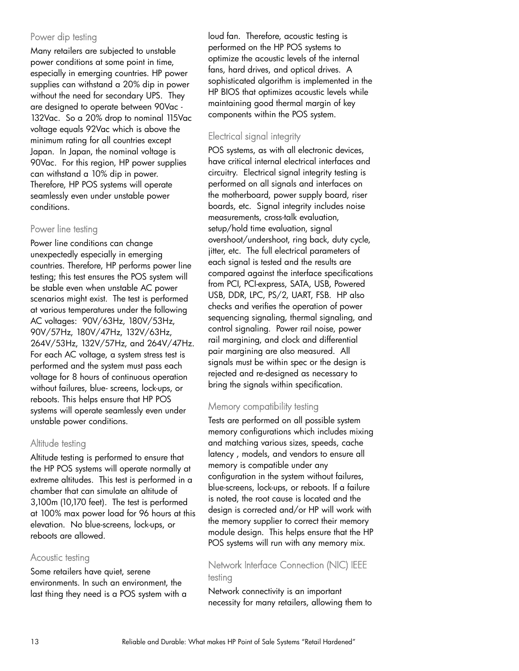## Power dip testing

Many retailers are subjected to unstable power conditions at some point in time, especially in emerging countries. HP power supplies can withstand a 20% dip in power without the need for secondary UPS. They are designed to operate between 90Vac - 132Vac. So a 20% drop to nominal 115Vac voltage equals 92Vac which is above the minimum rating for all countries except Japan. In Japan, the nominal voltage is 90Vac. For this region, HP power supplies can withstand a 10% dip in power. Therefore, HP POS systems will operate seamlessly even under unstable power conditions.

## Power line testing

Power line conditions can change unexpectedly especially in emerging countries. Therefore, HP performs power line testing; this test ensures the POS system will be stable even when unstable AC power scenarios might exist. The test is performed at various temperatures under the following AC voltages: 90V/63Hz, 180V/53Hz, 90V/57Hz, 180V/47Hz, 132V/63Hz, 264V/53Hz, 132V/57Hz, and 264V/47Hz. For each AC voltage, a system stress test is performed and the system must pass each voltage for 8 hours of continuous operation without failures, blue- screens, lock-ups, or reboots. This helps ensure that HP POS systems will operate seamlessly even under unstable power conditions.

## Altitude testing

Altitude testing is performed to ensure that the HP POS systems will operate normally at extreme altitudes. This test is performed in a chamber that can simulate an altitude of 3,100m (10,170 feet). The test is performed at 100% max power load for 96 hours at this elevation. No blue-screens, lock-ups, or reboots are allowed.

#### Acoustic testing

Some retailers have quiet, serene environments. In such an environment, the last thing they need is a POS system with a loud fan. Therefore, acoustic testing is performed on the HP POS systems to optimize the acoustic levels of the internal fans, hard drives, and optical drives. A sophisticated algorithm is implemented in the HP BIOS that optimizes acoustic levels while maintaining good thermal margin of key components within the POS system.

# Electrical signal integrity

POS systems, as with all electronic devices, have critical internal electrical interfaces and circuitry. Electrical signal integrity testing is performed on all signals and interfaces on the motherboard, power supply board, riser boards, etc. Signal integrity includes noise measurements, cross-talk evaluation, setup/hold time evaluation, signal overshoot/undershoot, ring back, duty cycle, jitter, etc. The full electrical parameters of each signal is tested and the results are compared against the interface specifications from PCI, PCI-express, SATA, USB, Powered USB, DDR, LPC, PS/2, UART, FSB. HP also checks and verifies the operation of power sequencing signaling, thermal signaling, and control signaling. Power rail noise, power rail margining, and clock and differential pair margining are also measured. All signals must be within spec or the design is rejected and re-designed as necessary to bring the signals within specification.

## Memory compatibility testing

Tests are performed on all possible system memory configurations which includes mixing and matching various sizes, speeds, cache latency , models, and vendors to ensure all memory is compatible under any configuration in the system without failures, blue-screens, lock-ups, or reboots. If a failure is noted, the root cause is located and the design is corrected and/or HP will work with the memory supplier to correct their memory module design. This helps ensure that the HP POS systems will run with any memory mix.

# Network Interface Connection (NIC) IEEE testing

Network connectivity is an important necessity for many retailers, allowing them to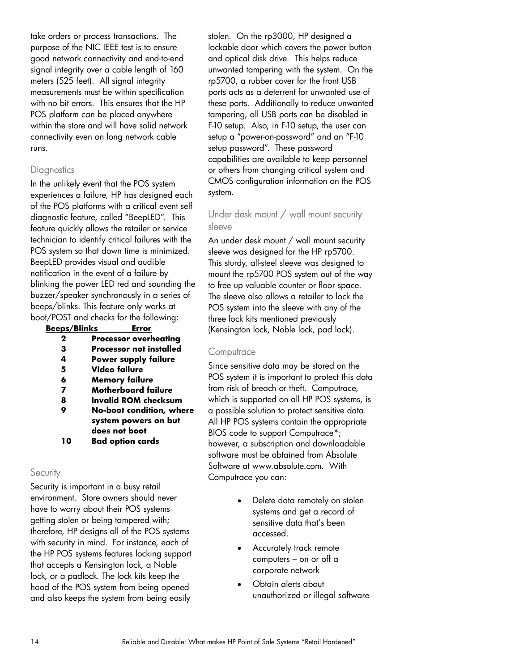take orders or process transactions. The purpose of the NIC IEEE test is to ensure good network connectivity and end-to-end signal integrity over a cable length of 160 meters (525 feet). All signal integrity measurements must be within specification with no bit errors. This ensures that the HP POS platform can be placed anywhere within the store and will have solid network connectivity even on long network cable runs.

### **Diagnostics**

In the unlikely event that the POS system experiences a failure, HP has designed each of the POS platforms with a critical event self diagnostic feature, called "BeepLED". This feature quickly allows the retailer or service technician to identify critical failures with the POS system so that down time is minimized. BeepLED provides visual and audible notification in the event of a failure by blinking the power LED red and sounding the buzzer/speaker synchronously in a series of beeps/blinks. This feature only works at boot/POST and checks for the following:

| <b>Beeps/Blinks</b> | Error                          |
|---------------------|--------------------------------|
| 2                   | <b>Processor overheating</b>   |
| 3                   | <b>Processor not installed</b> |
| 4                   | <b>Power supply failure</b>    |
| 5                   | <b>Video failure</b>           |
| 6                   | <b>Memory failure</b>          |
| 7                   | Motherboard failure            |
| 8                   | Invalid ROM checksum           |
| 9                   | No-boot condition, where       |
|                     | system powers on but           |
|                     | does not boot                  |
|                     | <b>Bad option cards</b>        |

## **Security**

Security is important in a busy retail environment. Store owners should never have to worry about their POS systems getting stolen or being tampered with; therefore, HP designs all of the POS systems with security in mind. For instance, each of the HP POS systems features locking support that accepts a Kensington lock, a Noble lock, or a padlock. The lock kits keep the hood of the POS system from being opened and also keeps the system from being easily

stolen. On the rp3000, HP designed a lockable door which covers the power button and optical disk drive. This helps reduce unwanted tampering with the system. On the rp5700, a rubber cover for the front USB ports acts as a deterrent for unwanted use of these ports. Additionally to reduce unwanted tampering, all USB ports can be disabled in F-10 setup. Also, in F-10 setup, the user can setup a "power-on-password" and an "F-10 setup password". These password capabilities are available to keep personnel or others from changing critical system and CMOS configuration information on the POS system.

# Under desk mount / wall mount security sleeve

An under desk mount / wall mount security sleeve was designed for the HP rp5700. This sturdy, all-steel sleeve was designed to mount the rp5700 POS system out of the way to free up valuable counter or floor space. The sleeve also allows a retailer to lock the POS system into the sleeve with any of the three lock kits mentioned previously (Kensington lock, Noble lock, pad lock).

## **Computrace**

Since sensitive data may be stored on the POS system it is important to protect this data from risk of breach or theft. Computrace, which is supported on all HP POS systems, is a possible solution to protect sensitive data. All HP POS systems contain the appropriate BIOS code to support Computrace\*; however, a subscription and downloadable software must be obtained from Absolute Software at [www.absolute.com.](http://www.absolute.com/) With Computrace you can:

- Delete data remotely on stolen systems and get a record of sensitive data that's been accessed.
- Accurately track remote computers – on or off a corporate network
- Obtain alerts about unauthorized or illegal software